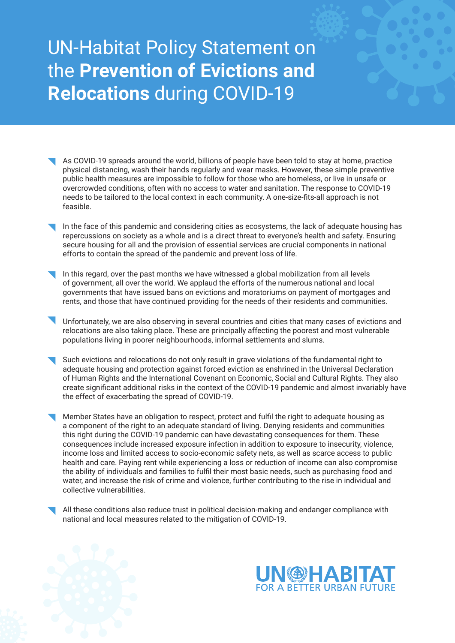## UN-Habitat Policy Statement on the **Prevention of Evictions and Relocations** during COVID-19

- As COVID-19 spreads around the world, billions of people have been told to stay at home, practice physical distancing, wash their hands regularly and wear masks. However, these simple preventive public health measures are impossible to follow for those who are homeless, or live in unsafe or overcrowded conditions, often with no access to water and sanitation. The response to COVID-19 needs to be tailored to the local context in each community. A one-size-fits-all approach is not feasible.
- In the face of this pandemic and considering cities as ecosystems, the lack of adequate housing has repercussions on society as a whole and is a direct threat to everyone's health and safety. Ensuring secure housing for all and the provision of essential services are crucial components in national efforts to contain the spread of the pandemic and prevent loss of life.
- In this regard, over the past months we have witnessed a global mobilization from all levels of government, all over the world. We applaud the efforts of the numerous national and local governments that have issued bans on evictions and moratoriums on payment of mortgages and rents, and those that have continued providing for the needs of their residents and communities.
- Unfortunately, we are also observing in several countries and cities that many cases of evictions and relocations are also taking place. These are principally affecting the poorest and most vulnerable populations living in poorer neighbourhoods, informal settlements and slums.
- Such evictions and relocations do not only result in grave violations of the fundamental right to adequate housing and protection against forced eviction as enshrined in the Universal Declaration of Human Rights and the International Covenant on Economic, Social and Cultural Rights. They also create significant additional risks in the context of the COVID-19 pandemic and almost invariably have the effect of exacerbating the spread of COVID-19.
- Member States have an obligation to respect, protect and fulfil the right to adequate housing as a component of the right to an adequate standard of living. Denying residents and communities this right during the COVID-19 pandemic can have devastating consequences for them. These consequences include increased exposure infection in addition to exposure to insecurity, violence, income loss and limited access to socio-economic safety nets, as well as scarce access to public health and care. Paying rent while experiencing a loss or reduction of income can also compromise the ability of individuals and families to fulfil their most basic needs, such as purchasing food and water, and increase the risk of crime and violence, further contributing to the rise in individual and collective vulnerabilities.
- All these conditions also reduce trust in political decision-making and endanger compliance with national and local measures related to the mitigation of COVID-19.